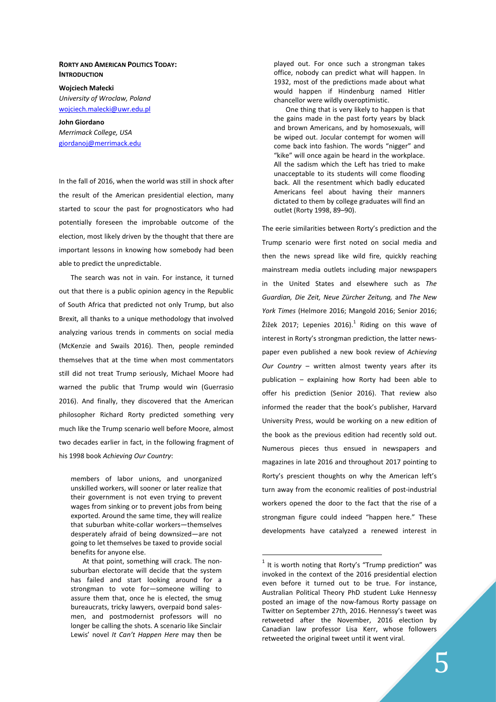## RORTY AND AMERICAN POLITICS TODAY: **INTRODUCTION**

Wojciech Małecki University of Wroclaw, Poland wojciech.malecki@uwr.edu.pl

John Giordano Merrimack College, USA giordanoj@merrimack.edu

In the fall of 2016, when the world was still in shock after the result of the American presidential election, many started to scour the past for prognosticators who had potentially foreseen the improbable outcome of the election, most likely driven by the thought that there are important lessons in knowing how somebody had been able to predict the unpredictable.

The search was not in vain. For instance, it turned out that there is a public opinion agency in the Republic of South Africa that predicted not only Trump, but also Brexit, all thanks to a unique methodology that involved analyzing various trends in comments on social media (McKenzie and Swails 2016). Then, people reminded themselves that at the time when most commentators still did not treat Trump seriously, Michael Moore had warned the public that Trump would win (Guerrasio 2016). And finally, they discovered that the American philosopher Richard Rorty predicted something very much like the Trump scenario well before Moore, almost two decades earlier in fact, in the following fragment of his 1998 book Achieving Our Country:

members of labor unions, and unorganized unskilled workers, will sooner or later realize that their government is not even trying to prevent wages from sinking or to prevent jobs from being exported. Around the same time, they will realize that suburban white-collar workers—themselves desperately afraid of being downsized—are not going to let themselves be taxed to provide social benefits for anyone else.

At that point, something will crack. The nonsuburban electorate will decide that the system has failed and start looking around for a strongman to vote for—someone willing to assure them that, once he is elected, the smug bureaucrats, tricky lawyers, overpaid bond salesmen, and postmodernist professors will no longer be calling the shots. A scenario like Sinclair Lewis' novel It Can't Happen Here may then be

played out. For once such a strongman takes office, nobody can predict what will happen. In 1932, most of the predictions made about what would happen if Hindenburg named Hitler chancellor were wildly overoptimistic.

One thing that is very likely to happen is that the gains made in the past forty years by black and brown Americans, and by homosexuals, will be wiped out. Jocular contempt for women will come back into fashion. The words "nigger" and "kike" will once again be heard in the workplace. All the sadism which the Left has tried to make unacceptable to its students will come flooding back. All the resentment which badly educated Americans feel about having their manners dictated to them by college graduates will find an outlet (Rorty 1998, 89–90).

The eerie similarities between Rorty's prediction and the Trump scenario were first noted on social media and then the news spread like wild fire, quickly reaching mainstream media outlets including major newspapers in the United States and elsewhere such as The Guardian, Die Zeit, Neue Zürcher Zeitung, and The New York Times (Helmore 2016; Mangold 2016; Senior 2016; Žižek 2017; Lepenies 2016).<sup>1</sup> Riding on this wave of interest in Rorty's strongman prediction, the latter newspaper even published a new book review of Achieving Our Country – written almost twenty years after its publication – explaining how Rorty had been able to offer his prediction (Senior 2016). That review also informed the reader that the book's publisher, Harvard University Press, would be working on a new edition of the book as the previous edition had recently sold out. Numerous pieces thus ensued in newspapers and magazines in late 2016 and throughout 2017 pointing to Rorty's prescient thoughts on why the American left's turn away from the economic realities of post-industrial workers opened the door to the fact that the rise of a strongman figure could indeed "happen here." These developments have catalyzed a renewed interest in

-

 $1$  It is worth noting that Rorty's "Trump prediction" was invoked in the context of the 2016 presidential election even before it turned out to be true. For instance, Australian Political Theory PhD student Luke Hennessy posted an image of the now-famous Rorty passage on Twitter on September 27th, 2016. Hennessy's tweet was retweeted after the November, 2016 election by Canadian law professor Lisa Kerr, whose followers retweeted the original tweet until it went viral.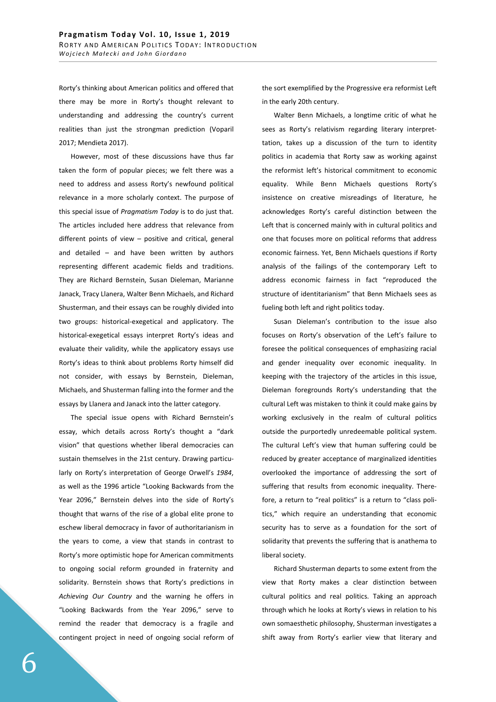Rorty's thinking about American politics and offered that there may be more in Rorty's thought relevant to understanding and addressing the country's current realities than just the strongman prediction (Voparil 2017; Mendieta 2017).

However, most of these discussions have thus far taken the form of popular pieces; we felt there was a need to address and assess Rorty's newfound political relevance in a more scholarly context. The purpose of this special issue of Pragmatism Today is to do just that. The articles included here address that relevance from different points of view – positive and critical, general and detailed – and have been written by authors representing different academic fields and traditions. They are Richard Bernstein, Susan Dieleman, Marianne Janack, Tracy Llanera, Walter Benn Michaels, and Richard Shusterman, and their essays can be roughly divided into two groups: historical-exegetical and applicatory. The historical-exegetical essays interpret Rorty's ideas and evaluate their validity, while the applicatory essays use Rorty's ideas to think about problems Rorty himself did not consider, with essays by Bernstein, Dieleman, Michaels, and Shusterman falling into the former and the essays by Llanera and Janack into the latter category.

The special issue opens with Richard Bernstein's essay, which details across Rorty's thought a "dark vision" that questions whether liberal democracies can sustain themselves in the 21st century. Drawing particularly on Rorty's interpretation of George Orwell's 1984, as well as the 1996 article "Looking Backwards from the Year 2096," Bernstein delves into the side of Rorty's thought that warns of the rise of a global elite prone to eschew liberal democracy in favor of authoritarianism in the years to come, a view that stands in contrast to Rorty's more optimistic hope for American commitments to ongoing social reform grounded in fraternity and solidarity. Bernstein shows that Rorty's predictions in Achieving Our Country and the warning he offers in "Looking Backwards from the Year 2096," serve to remind the reader that democracy is a fragile and contingent project in need of ongoing social reform of the sort exemplified by the Progressive era reformist Left in the early 20th century.

Walter Benn Michaels, a longtime critic of what he sees as Rorty's relativism regarding literary interprettation, takes up a discussion of the turn to identity politics in academia that Rorty saw as working against the reformist left's historical commitment to economic equality. While Benn Michaels questions Rorty's insistence on creative misreadings of literature, he acknowledges Rorty's careful distinction between the Left that is concerned mainly with in cultural politics and one that focuses more on political reforms that address economic fairness. Yet, Benn Michaels questions if Rorty analysis of the failings of the contemporary Left to address economic fairness in fact "reproduced the structure of identitarianism" that Benn Michaels sees as fueling both left and right politics today.

Susan Dieleman's contribution to the issue also focuses on Rorty's observation of the Left's failure to foresee the political consequences of emphasizing racial and gender inequality over economic inequality. In keeping with the trajectory of the articles in this issue, Dieleman foregrounds Rorty's understanding that the cultural Left was mistaken to think it could make gains by working exclusively in the realm of cultural politics outside the purportedly unredeemable political system. The cultural Left's view that human suffering could be reduced by greater acceptance of marginalized identities overlooked the importance of addressing the sort of suffering that results from economic inequality. Therefore, a return to "real politics" is a return to "class politics," which require an understanding that economic security has to serve as a foundation for the sort of solidarity that prevents the suffering that is anathema to liberal society.

Richard Shusterman departs to some extent from the view that Rorty makes a clear distinction between cultural politics and real politics. Taking an approach through which he looks at Rorty's views in relation to his own somaesthetic philosophy, Shusterman investigates a shift away from Rorty's earlier view that literary and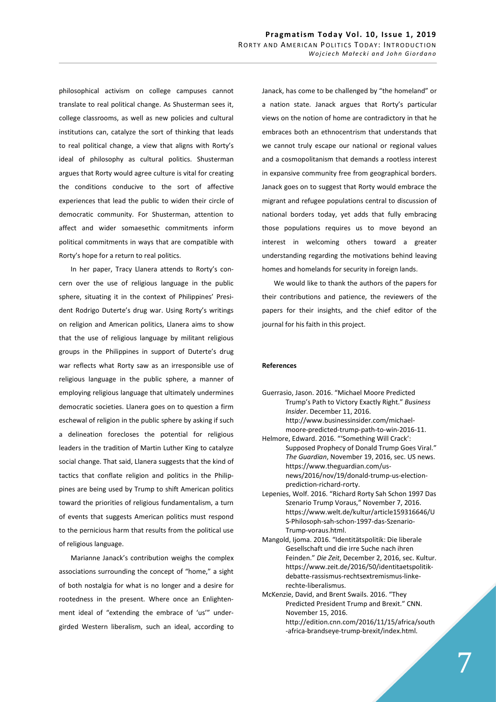philosophical activism on college campuses cannot translate to real political change. As Shusterman sees it, college classrooms, as well as new policies and cultural institutions can, catalyze the sort of thinking that leads to real political change, a view that aligns with Rorty's ideal of philosophy as cultural politics. Shusterman argues that Rorty would agree culture is vital for creating the conditions conducive to the sort of affective experiences that lead the public to widen their circle of democratic community. For Shusterman, attention to affect and wider somaesethic commitments inform political commitments in ways that are compatible with Rorty's hope for a return to real politics.

In her paper, Tracy Llanera attends to Rorty's concern over the use of religious language in the public sphere, situating it in the context of Philippines' President Rodrigo Duterte's drug war. Using Rorty's writings on religion and American politics, Llanera aims to show that the use of religious language by militant religious groups in the Philippines in support of Duterte's drug war reflects what Rorty saw as an irresponsible use of religious language in the public sphere, a manner of employing religious language that ultimately undermines democratic societies. Llanera goes on to question a firm eschewal of religion in the public sphere by asking if such a delineation forecloses the potential for religious leaders in the tradition of Martin Luther King to catalyze social change. That said, Llanera suggests that the kind of tactics that conflate religion and politics in the Philippines are being used by Trump to shift American politics toward the priorities of religious fundamentalism, a turn of events that suggests American politics must respond to the pernicious harm that results from the political use of religious language.

Marianne Janack's contribution weighs the complex associations surrounding the concept of "home," a sight of both nostalgia for what is no longer and a desire for rootedness in the present. Where once an Enlightenment ideal of "extending the embrace of 'us'" undergirded Western liberalism, such an ideal, according to Janack, has come to be challenged by "the homeland" or a nation state. Janack argues that Rorty's particular views on the notion of home are contradictory in that he embraces both an ethnocentrism that understands that we cannot truly escape our national or regional values and a cosmopolitanism that demands a rootless interest in expansive community free from geographical borders. Janack goes on to suggest that Rorty would embrace the migrant and refugee populations central to discussion of national borders today, yet adds that fully embracing those populations requires us to move beyond an interest in welcoming others toward a greater understanding regarding the motivations behind leaving homes and homelands for security in foreign lands.

We would like to thank the authors of the papers for their contributions and patience, the reviewers of the papers for their insights, and the chief editor of the journal for his faith in this project.

## References

- Guerrasio, Jason. 2016. "Michael Moore Predicted Trump's Path to Victory Exactly Right." Business Insider. December 11, 2016. http://www.businessinsider.com/michaelmoore-predicted-trump-path-to-win-2016-11.
- Helmore, Edward. 2016. "'Something Will Crack': Supposed Prophecy of Donald Trump Goes Viral." The Guardian, November 19, 2016, sec. US news. https://www.theguardian.com/usnews/2016/nov/19/donald-trump-us-electionprediction-richard-rorty.
- Lepenies, Wolf. 2016. "Richard Rorty Sah Schon 1997 Das Szenario Trump Voraus," November 7, 2016. https://www.welt.de/kultur/article159316646/U S-Philosoph-sah-schon-1997-das-Szenario-Trump-voraus.html.
- Mangold, Ijoma. 2016. "Identitätspolitik: Die liberale Gesellschaft und die irre Suche nach ihren Feinden." Die Zeit, December 2, 2016, sec. Kultur. https://www.zeit.de/2016/50/identitaetspolitikdebatte-rassismus-rechtsextremismus-linkerechte-liberalismus.
- McKenzie, David, and Brent Swails. 2016. "They Predicted President Trump and Brexit." CNN. November 15, 2016. http://edition.cnn.com/2016/11/15/africa/south -africa-brandseye-trump-brexit/index.html.